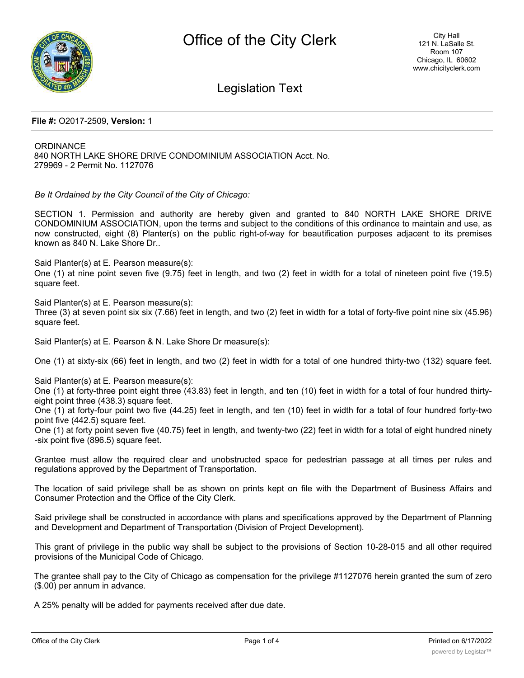

Legislation Text

## **File #:** O2017-2509, **Version:** 1

**ORDINANCE** 840 NORTH LAKE SHORE DRIVE CONDOMINIUM ASSOCIATION Acct. No. 279969 - 2 Permit No. 1127076

*Be It Ordained by the City Council of the City of Chicago:*

SECTION 1. Permission and authority are hereby given and granted to 840 NORTH LAKE SHORE DRIVE CONDOMINIUM ASSOCIATION, upon the terms and subject to the conditions of this ordinance to maintain and use, as now constructed, eight (8) Planter(s) on the public right-of-way for beautification purposes adjacent to its premises known as 840 N. Lake Shore Dr..

Said Planter(s) at E. Pearson measure(s):

One (1) at nine point seven five (9.75) feet in length, and two (2) feet in width for a total of nineteen point five (19.5) square feet.

Said Planter(s) at E. Pearson measure(s): Three (3) at seven point six six (7.66) feet in length, and two (2) feet in width for a total of forty-five point nine six (45.96) square feet.

Said Planter(s) at E. Pearson & N. Lake Shore Dr measure(s):

One (1) at sixty-six (66) feet in length, and two (2) feet in width for a total of one hundred thirty-two (132) square feet.

Said Planter(s) at E. Pearson measure(s):

One (1) at forty-three point eight three (43.83) feet in length, and ten (10) feet in width for a total of four hundred thirtyeight point three (438.3) square feet.

One (1) at forty-four point two five (44.25) feet in length, and ten (10) feet in width for a total of four hundred forty-two point five (442.5) square feet.

One (1) at forty point seven five (40.75) feet in length, and twenty-two (22) feet in width for a total of eight hundred ninety -six point five (896.5) square feet.

Grantee must allow the required clear and unobstructed space for pedestrian passage at all times per rules and regulations approved by the Department of Transportation.

The location of said privilege shall be as shown on prints kept on file with the Department of Business Affairs and Consumer Protection and the Office of the City Clerk.

Said privilege shall be constructed in accordance with plans and specifications approved by the Department of Planning and Development and Department of Transportation (Division of Project Development).

This grant of privilege in the public way shall be subject to the provisions of Section 10-28-015 and all other required provisions of the Municipal Code of Chicago.

The grantee shall pay to the City of Chicago as compensation for the privilege #1127076 herein granted the sum of zero (\$.00) per annum in advance.

A 25% penalty will be added for payments received after due date.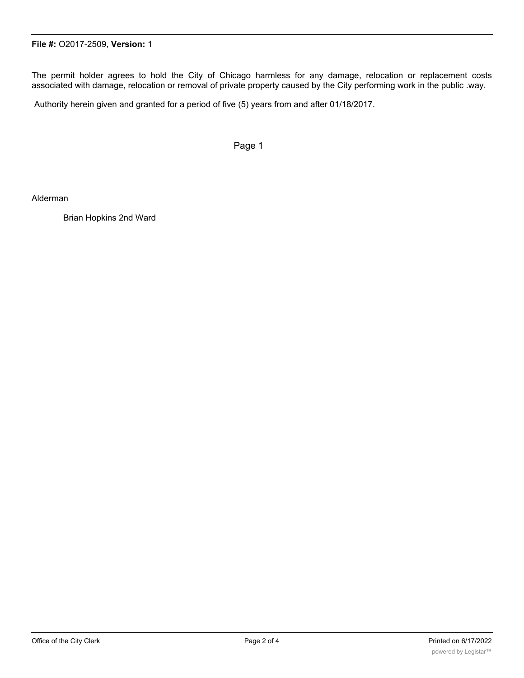The permit holder agrees to hold the City of Chicago harmless for any damage, relocation or replacement costs associated with damage, relocation or removal of private property caused by the City performing work in the public .way.

Authority herein given and granted for a period of five (5) years from and after 01/18/2017.

Page 1

Alderman

Brian Hopkins 2nd Ward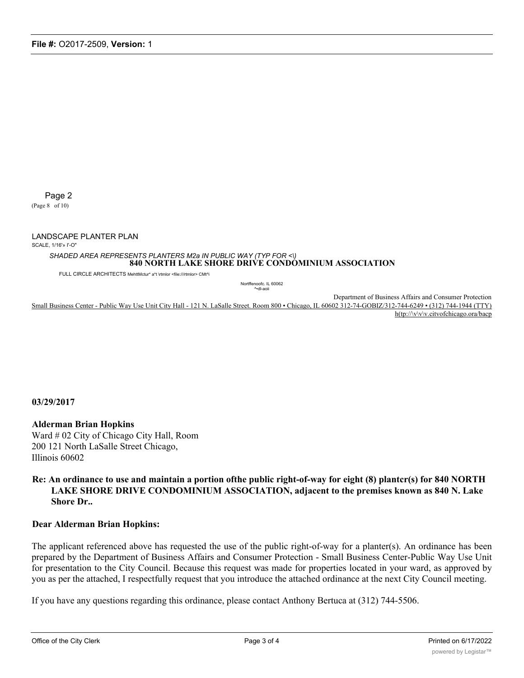Page 2

(Page 8 of 10)

LANDSCAPE PLANTER PLAN

SCALE, 1/16'» I'-O"

*SHADED AREA REPRESENTS PLANTERS M2a IN PUBLIC WAY (TYP FOR <\)* **840 NORTH LAKE SHORE DRIVE CONDOMINIUM ASSOCIATION**

FULL CIRCLE ARCHITECTS MehttMctur\* a\*t \rtmlor <file:///rtmlor> CMt^i

Nortffenoofc. IL 60062 ^•dl-aoii

Department of Business Affairs and Consumer Protection Small Business Center - Public Way Use Unit City Hall - 121 N. LaSalle Street. Room 800 • Chicago, IL 60602 312-74-GOBIZ/312-744-6249 • (312) 744-1944 (TTY) h(tp://\v\v\v.citvofchicago.ora/bacp

**03/29/2017**

**Alderman Brian Hopkins** Ward # 02 City of Chicago City Hall, Room 200 121 North LaSalle Street Chicago, Illinois 60602

## **Re: An ordinance to use and maintain a portion ofthe public right-of-way for eight (8) plantcr(s) for 840 NORTH LAKE SHORE DRIVE CONDOMINIUM ASSOCIATION, adjacent to the premises known as 840 N. Lake Shore Dr..**

## **Dear Alderman Brian Hopkins:**

The applicant referenced above has requested the use of the public right-of-way for a planter(s). An ordinance has been prepared by the Department of Business Affairs and Consumer Protection - Small Business Center-Public Way Use Unit for presentation to the City Council. Because this request was made for properties located in your ward, as approved by you as per the attached, I respectfully request that you introduce the attached ordinance at the next City Council meeting.

If you have any questions regarding this ordinance, please contact Anthony Bertuca at (312) 744-5506.